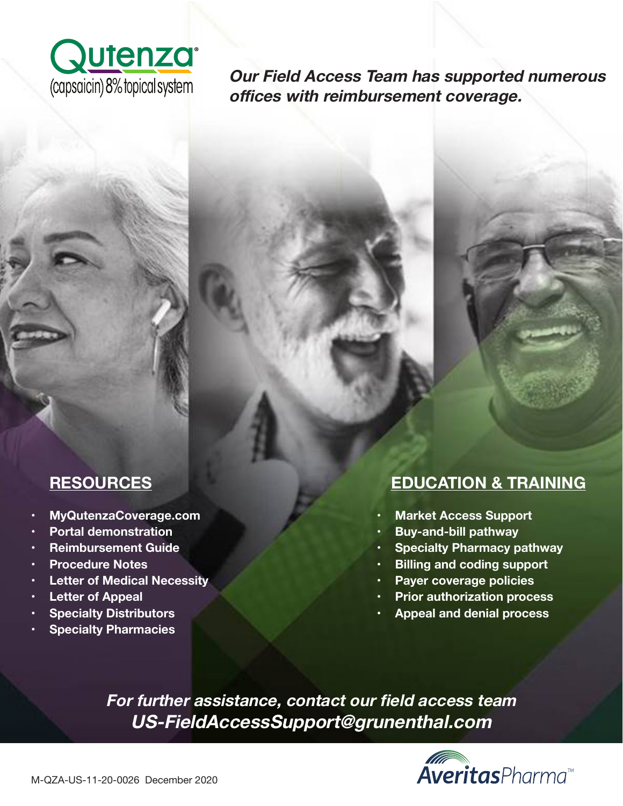

**Our Field Access Team has supported numerous offices with reimbursement coverage.**

# **RESOURCES**

- **• MyQutenzaCoverage.com**
- **Portal demonstration**
- **• Reimbursement Guide**
- **Procedure Notes**
- **Letter of Medical Necessity**
- **Letter of Appeal**
- **Specialty Distributors**
- **Specialty Pharmacies**

# **EDUCATION & TRAINING**

- **Market Access Support**
- **• Buy-and-bill pathway**
- **Specialty Pharmacy pathway**
- **Billing and coding support**
- **Payer coverage policies**
- **Prior authorization process**
- **Appeal and denial process**

**For further assistance, contact our field access team US-FieldAccessSupport@grunenthal.com**